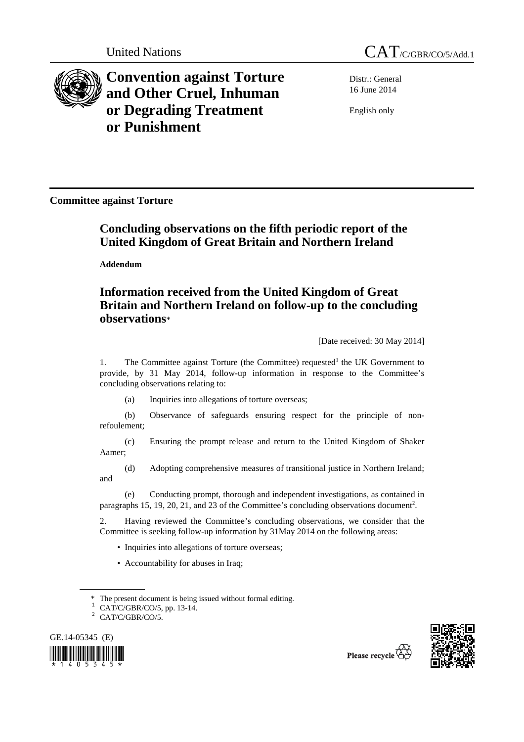

**Convention against Torture and Other Cruel, Inhuman or Degrading Treatment or Punishment**

United Nations CAT<sub>/C/GBR/CO/5/Add.1</sub>

Distr.: General 16 June 2014

English only

**Committee against Torture** 

# **Concluding observations on the fifth periodic report of the United Kingdom of Great Britain and Northern Ireland**

 **Addendum** 

# **Information received from the United Kingdom of Great Britain and Northern Ireland on follow-up to the concluding observations**\*

[Date received: 30 May 2014]

1. The Committee against Torture (the Committee) requested<sup>1</sup> the UK Government to provide, by 31 May 2014, follow-up information in response to the Committee's concluding observations relating to:

(a) Inquiries into allegations of torture overseas;

(b) Observance of safeguards ensuring respect for the principle of nonrefoulement;

(c) Ensuring the prompt release and return to the United Kingdom of Shaker Aamer;

(d) Adopting comprehensive measures of transitional justice in Northern Ireland; and

(e) Conducting prompt, thorough and independent investigations, as contained in paragraphs 15, 19, 20, 21, and 23 of the Committee's concluding observations document<sup>2</sup>.

2. Having reviewed the Committee's concluding observations, we consider that the Committee is seeking follow-up information by 31May 2014 on the following areas:

- Inquiries into allegations of torture overseas;
- Accountability for abuses in Iraq;

 $2$  CAT/C/GBR/CO/5.







 $*$  The present document is being issued without formal editing.<br><sup>1</sup> CAT/C/GBR/CO/5, pp. 13-14.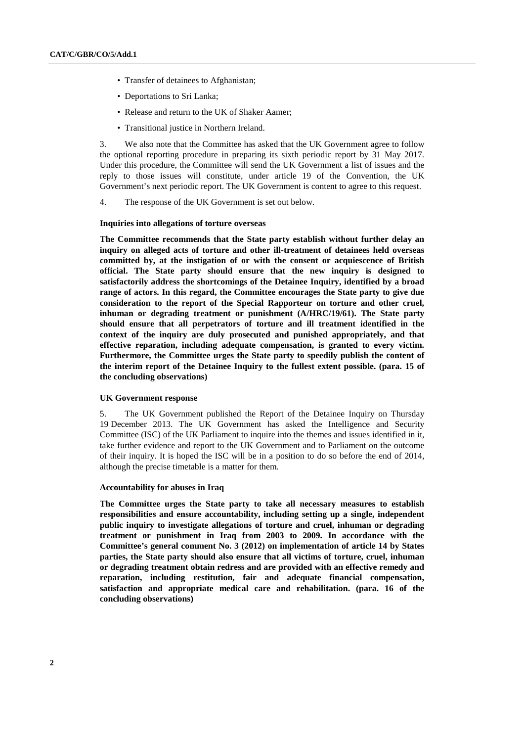- Transfer of detainees to Afghanistan;
- Deportations to Sri Lanka;
- Release and return to the UK of Shaker Aamer;
- Transitional justice in Northern Ireland.

3. We also note that the Committee has asked that the UK Government agree to follow the optional reporting procedure in preparing its sixth periodic report by 31 May 2017. Under this procedure, the Committee will send the UK Government a list of issues and the reply to those issues will constitute, under article 19 of the Convention, the UK Government's next periodic report. The UK Government is content to agree to this request.

4. The response of the UK Government is set out below.

#### **Inquiries into allegations of torture overseas**

**The Committee recommends that the State party establish without further delay an inquiry on alleged acts of torture and other ill-treatment of detainees held overseas committed by, at the instigation of or with the consent or acquiescence of British official. The State party should ensure that the new inquiry is designed to satisfactorily address the shortcomings of the Detainee Inquiry, identified by a broad range of actors. In this regard, the Committee encourages the State party to give due consideration to the report of the Special Rapporteur on torture and other cruel, inhuman or degrading treatment or punishment (A/HRC/19/61). The State party should ensure that all perpetrators of torture and ill treatment identified in the context of the inquiry are duly prosecuted and punished appropriately, and that effective reparation, including adequate compensation, is granted to every victim. Furthermore, the Committee urges the State party to speedily publish the content of the interim report of the Detainee Inquiry to the fullest extent possible. (para. 15 of the concluding observations)** 

#### **UK Government response**

5. The UK Government published the Report of the Detainee Inquiry on Thursday 19 December 2013. The UK Government has asked the Intelligence and Security Committee (ISC) of the UK Parliament to inquire into the themes and issues identified in it, take further evidence and report to the UK Government and to Parliament on the outcome of their inquiry. It is hoped the ISC will be in a position to do so before the end of 2014, although the precise timetable is a matter for them.

# **Accountability for abuses in Iraq**

**The Committee urges the State party to take all necessary measures to establish responsibilities and ensure accountability, including setting up a single, independent public inquiry to investigate allegations of torture and cruel, inhuman or degrading treatment or punishment in Iraq from 2003 to 2009. In accordance with the Committee's general comment No. 3 (2012) on implementation of article 14 by States parties, the State party should also ensure that all victims of torture, cruel, inhuman or degrading treatment obtain redress and are provided with an effective remedy and reparation, including restitution, fair and adequate financial compensation, satisfaction and appropriate medical care and rehabilitation. (para. 16 of the concluding observations)**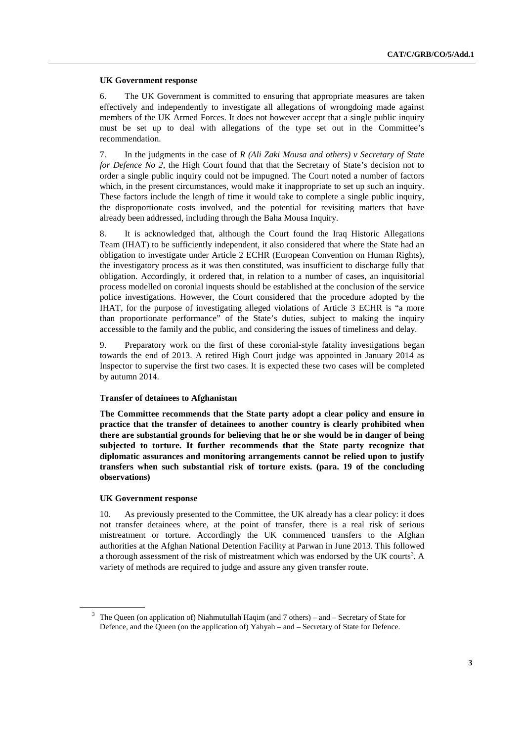### **UK Government response**

6. The UK Government is committed to ensuring that appropriate measures are taken effectively and independently to investigate all allegations of wrongdoing made against members of the UK Armed Forces. It does not however accept that a single public inquiry must be set up to deal with allegations of the type set out in the Committee's recommendation.

7. In the judgments in the case of *R (Ali Zaki Mousa and others) v Secretary of State for Defence No 2*, the High Court found that that the Secretary of State's decision not to order a single public inquiry could not be impugned. The Court noted a number of factors which, in the present circumstances, would make it inappropriate to set up such an inquiry. These factors include the length of time it would take to complete a single public inquiry, the disproportionate costs involved, and the potential for revisiting matters that have already been addressed, including through the Baha Mousa Inquiry.

8. It is acknowledged that, although the Court found the Iraq Historic Allegations Team (IHAT) to be sufficiently independent, it also considered that where the State had an obligation to investigate under Article 2 ECHR (European Convention on Human Rights), the investigatory process as it was then constituted, was insufficient to discharge fully that obligation. Accordingly, it ordered that, in relation to a number of cases, an inquisitorial process modelled on coronial inquests should be established at the conclusion of the service police investigations. However, the Court considered that the procedure adopted by the IHAT, for the purpose of investigating alleged violations of Article 3 ECHR is "a more than proportionate performance" of the State's duties, subject to making the inquiry accessible to the family and the public, and considering the issues of timeliness and delay.

9. Preparatory work on the first of these coronial-style fatality investigations began towards the end of 2013. A retired High Court judge was appointed in January 2014 as Inspector to supervise the first two cases. It is expected these two cases will be completed by autumn 2014.

# **Transfer of detainees to Afghanistan**

**The Committee recommends that the State party adopt a clear policy and ensure in practice that the transfer of detainees to another country is clearly prohibited when there are substantial grounds for believing that he or she would be in danger of being subjected to torture. It further recommends that the State party recognize that diplomatic assurances and monitoring arrangements cannot be relied upon to justify transfers when such substantial risk of torture exists. (para. 19 of the concluding observations)** 

#### **UK Government response**

10. As previously presented to the Committee, the UK already has a clear policy: it does not transfer detainees where, at the point of transfer, there is a real risk of serious mistreatment or torture. Accordingly the UK commenced transfers to the Afghan authorities at the Afghan National Detention Facility at Parwan in June 2013. This followed a thorough assessment of the risk of mistreatment which was endorsed by the UK courts<sup>3</sup>. A variety of methods are required to judge and assure any given transfer route.

<sup>&</sup>lt;sup>3</sup> The Queen (on application of) Niahmutullah Haqim (and  $7$  others) – and – Secretary of State for Defence, and the Queen (on the application of) Yahyah – and – Secretary of State for Defence.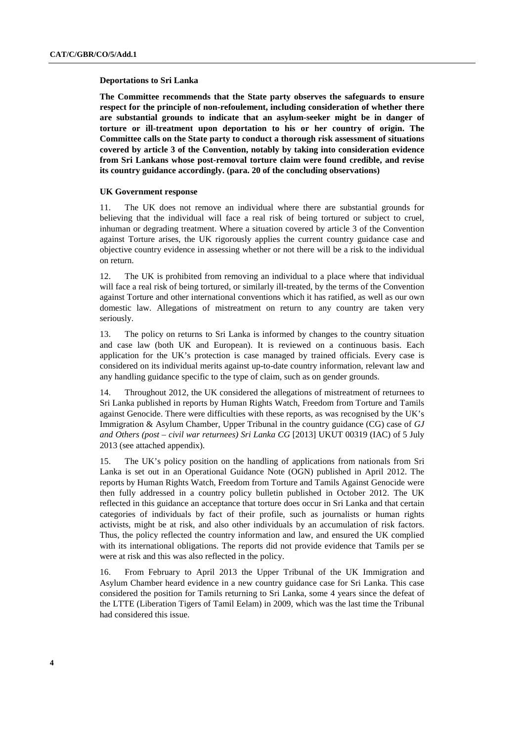#### **Deportations to Sri Lanka**

**The Committee recommends that the State party observes the safeguards to ensure respect for the principle of non-refoulement, including consideration of whether there are substantial grounds to indicate that an asylum-seeker might be in danger of torture or ill-treatment upon deportation to his or her country of origin. The Committee calls on the State party to conduct a thorough risk assessment of situations covered by article 3 of the Convention, notably by taking into consideration evidence from Sri Lankans whose post-removal torture claim were found credible, and revise its country guidance accordingly. (para. 20 of the concluding observations)** 

### **UK Government response**

11. The UK does not remove an individual where there are substantial grounds for believing that the individual will face a real risk of being tortured or subject to cruel, inhuman or degrading treatment. Where a situation covered by article 3 of the Convention against Torture arises, the UK rigorously applies the current country guidance case and objective country evidence in assessing whether or not there will be a risk to the individual on return.

12. The UK is prohibited from removing an individual to a place where that individual will face a real risk of being tortured, or similarly ill-treated, by the terms of the Convention against Torture and other international conventions which it has ratified, as well as our own domestic law. Allegations of mistreatment on return to any country are taken very seriously.

13. The policy on returns to Sri Lanka is informed by changes to the country situation and case law (both UK and European). It is reviewed on a continuous basis. Each application for the UK's protection is case managed by trained officials. Every case is considered on its individual merits against up-to-date country information, relevant law and any handling guidance specific to the type of claim, such as on gender grounds.

14. Throughout 2012, the UK considered the allegations of mistreatment of returnees to Sri Lanka published in reports by Human Rights Watch, Freedom from Torture and Tamils against Genocide. There were difficulties with these reports, as was recognised by the UK's Immigration & Asylum Chamber, Upper Tribunal in the country guidance (CG) case of *GJ and Others (post – civil war returnees) Sri Lanka CG* [2013] UKUT 00319 (IAC) of 5 July 2013 (see attached appendix).

15. The UK's policy position on the handling of applications from nationals from Sri Lanka is set out in an Operational Guidance Note (OGN) published in April 2012. The reports by Human Rights Watch, Freedom from Torture and Tamils Against Genocide were then fully addressed in a country policy bulletin published in October 2012. The UK reflected in this guidance an acceptance that torture does occur in Sri Lanka and that certain categories of individuals by fact of their profile, such as journalists or human rights activists, might be at risk, and also other individuals by an accumulation of risk factors. Thus, the policy reflected the country information and law, and ensured the UK complied with its international obligations. The reports did not provide evidence that Tamils per se were at risk and this was also reflected in the policy.

16. From February to April 2013 the Upper Tribunal of the UK Immigration and Asylum Chamber heard evidence in a new country guidance case for Sri Lanka. This case considered the position for Tamils returning to Sri Lanka, some 4 years since the defeat of the LTTE (Liberation Tigers of Tamil Eelam) in 2009, which was the last time the Tribunal had considered this issue.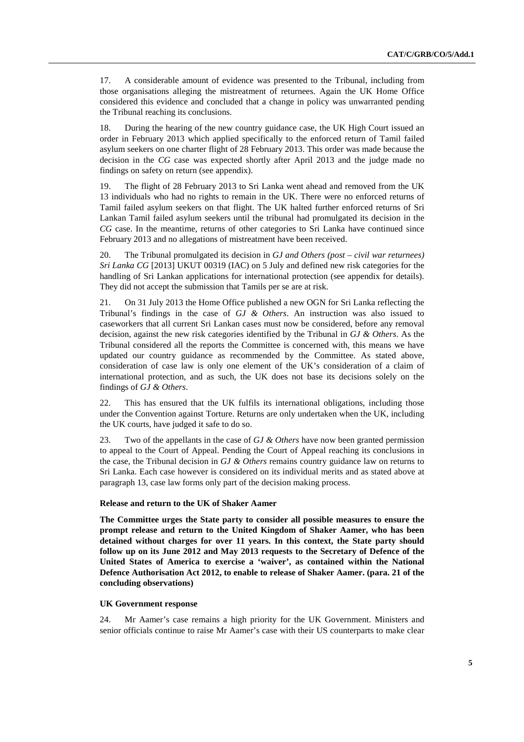17. A considerable amount of evidence was presented to the Tribunal, including from those organisations alleging the mistreatment of returnees. Again the UK Home Office considered this evidence and concluded that a change in policy was unwarranted pending the Tribunal reaching its conclusions.

18. During the hearing of the new country guidance case, the UK High Court issued an order in February 2013 which applied specifically to the enforced return of Tamil failed asylum seekers on one charter flight of 28 February 2013. This order was made because the decision in the *CG* case was expected shortly after April 2013 and the judge made no findings on safety on return (see appendix).

19. The flight of 28 February 2013 to Sri Lanka went ahead and removed from the UK 13 individuals who had no rights to remain in the UK. There were no enforced returns of Tamil failed asylum seekers on that flight. The UK halted further enforced returns of Sri Lankan Tamil failed asylum seekers until the tribunal had promulgated its decision in the *CG* case. In the meantime, returns of other categories to Sri Lanka have continued since February 2013 and no allegations of mistreatment have been received.

20. The Tribunal promulgated its decision in *GJ and Others (post – civil war returnees) Sri Lanka CG* [2013] UKUT 00319 (IAC) on 5 July and defined new risk categories for the handling of Sri Lankan applications for international protection (see appendix for details). They did not accept the submission that Tamils per se are at risk.

21. On 31 July 2013 the Home Office published a new OGN for Sri Lanka reflecting the Tribunal's findings in the case of *GJ & Others*. An instruction was also issued to caseworkers that all current Sri Lankan cases must now be considered, before any removal decision, against the new risk categories identified by the Tribunal in *GJ & Others*. As the Tribunal considered all the reports the Committee is concerned with, this means we have updated our country guidance as recommended by the Committee. As stated above, consideration of case law is only one element of the UK's consideration of a claim of international protection, and as such, the UK does not base its decisions solely on the findings of *GJ & Others*.

22. This has ensured that the UK fulfils its international obligations, including those under the Convention against Torture. Returns are only undertaken when the UK, including the UK courts, have judged it safe to do so.

23. Two of the appellants in the case of *GJ & Others* have now been granted permission to appeal to the Court of Appeal. Pending the Court of Appeal reaching its conclusions in the case, the Tribunal decision in *GJ & Others* remains country guidance law on returns to Sri Lanka. Each case however is considered on its individual merits and as stated above at paragraph 13, case law forms only part of the decision making process.

# **Release and return to the UK of Shaker Aamer**

**The Committee urges the State party to consider all possible measures to ensure the prompt release and return to the United Kingdom of Shaker Aamer, who has been detained without charges for over 11 years. In this context, the State party should follow up on its June 2012 and May 2013 requests to the Secretary of Defence of the United States of America to exercise a 'waiver', as contained within the National Defence Authorisation Act 2012, to enable to release of Shaker Aamer. (para. 21 of the concluding observations)** 

### **UK Government response**

24. Mr Aamer's case remains a high priority for the UK Government. Ministers and senior officials continue to raise Mr Aamer's case with their US counterparts to make clear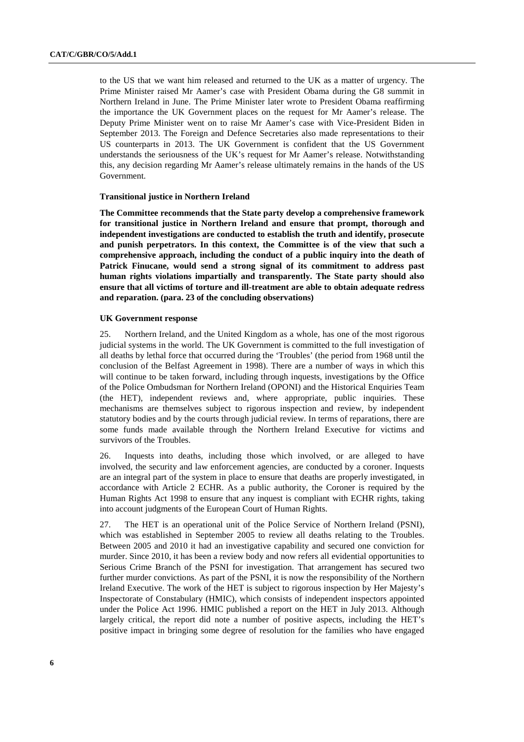to the US that we want him released and returned to the UK as a matter of urgency. The Prime Minister raised Mr Aamer's case with President Obama during the G8 summit in Northern Ireland in June. The Prime Minister later wrote to President Obama reaffirming the importance the UK Government places on the request for Mr Aamer's release. The Deputy Prime Minister went on to raise Mr Aamer's case with Vice-President Biden in September 2013. The Foreign and Defence Secretaries also made representations to their US counterparts in 2013. The UK Government is confident that the US Government understands the seriousness of the UK's request for Mr Aamer's release. Notwithstanding this, any decision regarding Mr Aamer's release ultimately remains in the hands of the US Government.

#### **Transitional justice in Northern Ireland**

**The Committee recommends that the State party develop a comprehensive framework for transitional justice in Northern Ireland and ensure that prompt, thorough and independent investigations are conducted to establish the truth and identify, prosecute and punish perpetrators. In this context, the Committee is of the view that such a comprehensive approach, including the conduct of a public inquiry into the death of Patrick Finucane, would send a strong signal of its commitment to address past human rights violations impartially and transparently. The State party should also ensure that all victims of torture and ill-treatment are able to obtain adequate redress and reparation. (para. 23 of the concluding observations)** 

#### **UK Government response**

25. Northern Ireland, and the United Kingdom as a whole, has one of the most rigorous judicial systems in the world. The UK Government is committed to the full investigation of all deaths by lethal force that occurred during the 'Troubles' (the period from 1968 until the conclusion of the Belfast Agreement in 1998). There are a number of ways in which this will continue to be taken forward, including through inquests, investigations by the Office of the Police Ombudsman for Northern Ireland (OPONI) and the Historical Enquiries Team (the HET), independent reviews and, where appropriate, public inquiries. These mechanisms are themselves subject to rigorous inspection and review, by independent statutory bodies and by the courts through judicial review. In terms of reparations, there are some funds made available through the Northern Ireland Executive for victims and survivors of the Troubles.

26. Inquests into deaths, including those which involved, or are alleged to have involved, the security and law enforcement agencies, are conducted by a coroner. Inquests are an integral part of the system in place to ensure that deaths are properly investigated, in accordance with Article 2 ECHR. As a public authority, the Coroner is required by the Human Rights Act 1998 to ensure that any inquest is compliant with ECHR rights, taking into account judgments of the European Court of Human Rights.

27. The HET is an operational unit of the Police Service of Northern Ireland (PSNI), which was established in September 2005 to review all deaths relating to the Troubles. Between 2005 and 2010 it had an investigative capability and secured one conviction for murder. Since 2010, it has been a review body and now refers all evidential opportunities to Serious Crime Branch of the PSNI for investigation. That arrangement has secured two further murder convictions. As part of the PSNI, it is now the responsibility of the Northern Ireland Executive. The work of the HET is subject to rigorous inspection by Her Majesty's Inspectorate of Constabulary (HMIC), which consists of independent inspectors appointed under the Police Act 1996. HMIC published a report on the HET in July 2013. Although largely critical, the report did note a number of positive aspects, including the HET's positive impact in bringing some degree of resolution for the families who have engaged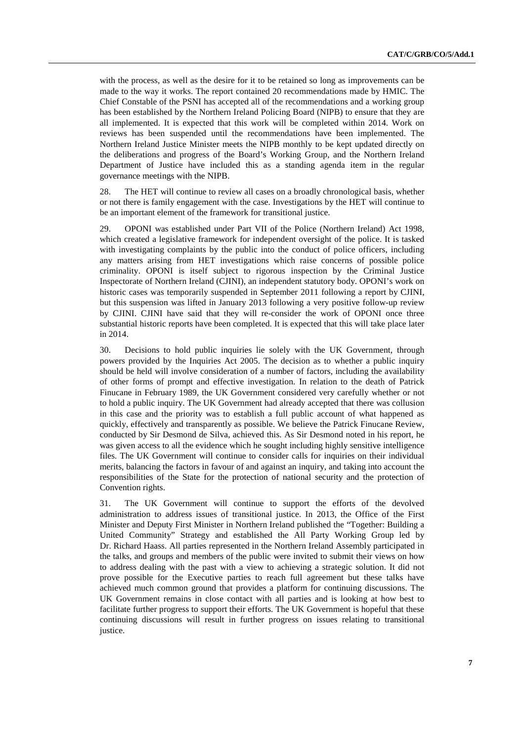with the process, as well as the desire for it to be retained so long as improvements can be made to the way it works. The report contained 20 recommendations made by HMIC. The Chief Constable of the PSNI has accepted all of the recommendations and a working group has been established by the Northern Ireland Policing Board (NIPB) to ensure that they are all implemented. It is expected that this work will be completed within 2014. Work on reviews has been suspended until the recommendations have been implemented. The Northern Ireland Justice Minister meets the NIPB monthly to be kept updated directly on the deliberations and progress of the Board's Working Group, and the Northern Ireland Department of Justice have included this as a standing agenda item in the regular governance meetings with the NIPB.

28. The HET will continue to review all cases on a broadly chronological basis, whether or not there is family engagement with the case. Investigations by the HET will continue to be an important element of the framework for transitional justice.

29. OPONI was established under Part VII of the Police (Northern Ireland) Act 1998, which created a legislative framework for independent oversight of the police. It is tasked with investigating complaints by the public into the conduct of police officers, including any matters arising from HET investigations which raise concerns of possible police criminality. OPONI is itself subject to rigorous inspection by the Criminal Justice Inspectorate of Northern Ireland (CJINI), an independent statutory body. OPONI's work on historic cases was temporarily suspended in September 2011 following a report by CJINI, but this suspension was lifted in January 2013 following a very positive follow-up review by CJINI. CJINI have said that they will re-consider the work of OPONI once three substantial historic reports have been completed. It is expected that this will take place later in 2014.

30. Decisions to hold public inquiries lie solely with the UK Government, through powers provided by the Inquiries Act 2005. The decision as to whether a public inquiry should be held will involve consideration of a number of factors, including the availability of other forms of prompt and effective investigation. In relation to the death of Patrick Finucane in February 1989, the UK Government considered very carefully whether or not to hold a public inquiry. The UK Government had already accepted that there was collusion in this case and the priority was to establish a full public account of what happened as quickly, effectively and transparently as possible. We believe the Patrick Finucane Review, conducted by Sir Desmond de Silva, achieved this. As Sir Desmond noted in his report, he was given access to all the evidence which he sought including highly sensitive intelligence files. The UK Government will continue to consider calls for inquiries on their individual merits, balancing the factors in favour of and against an inquiry, and taking into account the responsibilities of the State for the protection of national security and the protection of Convention rights.

31. The UK Government will continue to support the efforts of the devolved administration to address issues of transitional justice. In 2013, the Office of the First Minister and Deputy First Minister in Northern Ireland published the "Together: Building a United Community" Strategy and established the All Party Working Group led by Dr. Richard Haass. All parties represented in the Northern Ireland Assembly participated in the talks, and groups and members of the public were invited to submit their views on how to address dealing with the past with a view to achieving a strategic solution. It did not prove possible for the Executive parties to reach full agreement but these talks have achieved much common ground that provides a platform for continuing discussions. The UK Government remains in close contact with all parties and is looking at how best to facilitate further progress to support their efforts. The UK Government is hopeful that these continuing discussions will result in further progress on issues relating to transitional justice.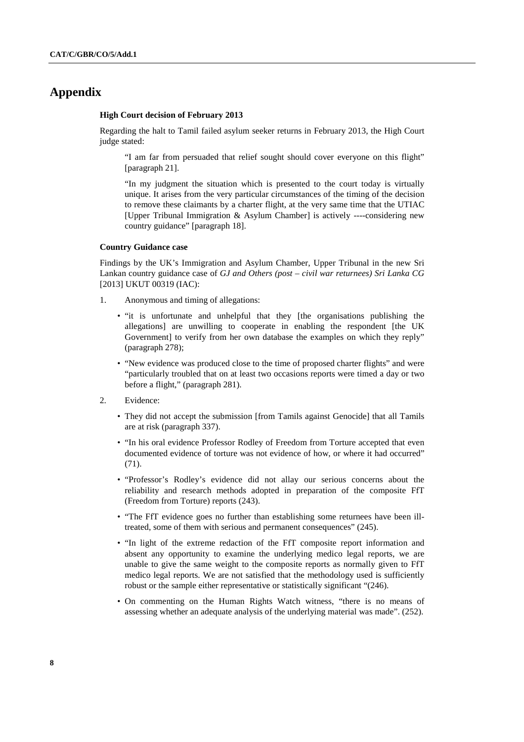# **Appendix**

#### **High Court decision of February 2013**

Regarding the halt to Tamil failed asylum seeker returns in February 2013, the High Court judge stated:

"I am far from persuaded that relief sought should cover everyone on this flight" [paragraph 21].

"In my judgment the situation which is presented to the court today is virtually unique. It arises from the very particular circumstances of the timing of the decision to remove these claimants by a charter flight, at the very same time that the UTIAC [Upper Tribunal Immigration & Asylum Chamber] is actively ----considering new country guidance" [paragraph 18].

### **Country Guidance case**

Findings by the UK's Immigration and Asylum Chamber, Upper Tribunal in the new Sri Lankan country guidance case of *GJ and Others (post – civil war returnees) Sri Lanka CG* [2013] UKUT 00319 (IAC):

- 1. Anonymous and timing of allegations:
	- "it is unfortunate and unhelpful that they [the organisations publishing the allegations] are unwilling to cooperate in enabling the respondent [the UK Government] to verify from her own database the examples on which they reply" (paragraph 278);
	- "New evidence was produced close to the time of proposed charter flights" and were "particularly troubled that on at least two occasions reports were timed a day or two before a flight," (paragraph 281).
- 2. Evidence:
	- They did not accept the submission [from Tamils against Genocide] that all Tamils are at risk (paragraph 337).
	- "In his oral evidence Professor Rodley of Freedom from Torture accepted that even documented evidence of torture was not evidence of how, or where it had occurred" (71).
	- "Professor's Rodley's evidence did not allay our serious concerns about the reliability and research methods adopted in preparation of the composite FfT (Freedom from Torture) reports (243).
	- "The FfT evidence goes no further than establishing some returnees have been illtreated, some of them with serious and permanent consequences" (245).
	- "In light of the extreme redaction of the FfT composite report information and absent any opportunity to examine the underlying medico legal reports, we are unable to give the same weight to the composite reports as normally given to FfT medico legal reports. We are not satisfied that the methodology used is sufficiently robust or the sample either representative or statistically significant "(246).
	- On commenting on the Human Rights Watch witness, "there is no means of assessing whether an adequate analysis of the underlying material was made". (252).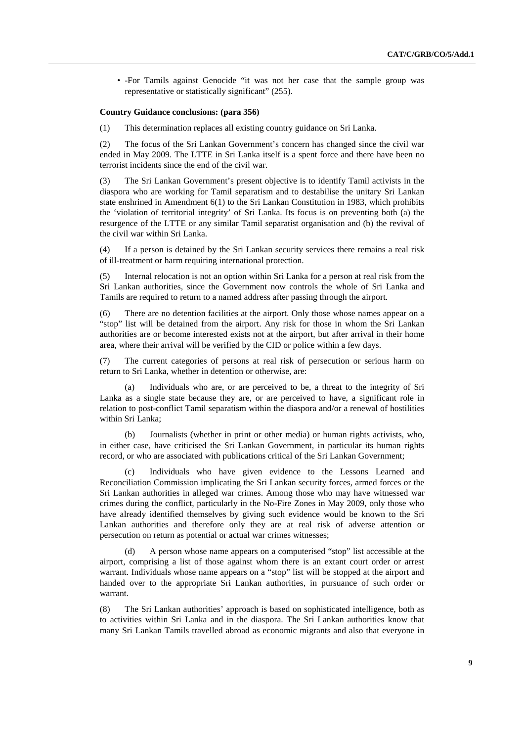• -For Tamils against Genocide "it was not her case that the sample group was representative or statistically significant" (255).

#### **Country Guidance conclusions: (para 356)**

(1) This determination replaces all existing country guidance on Sri Lanka.

(2) The focus of the Sri Lankan Government's concern has changed since the civil war ended in May 2009. The LTTE in Sri Lanka itself is a spent force and there have been no terrorist incidents since the end of the civil war.

(3) The Sri Lankan Government's present objective is to identify Tamil activists in the diaspora who are working for Tamil separatism and to destabilise the unitary Sri Lankan state enshrined in Amendment 6(1) to the Sri Lankan Constitution in 1983, which prohibits the 'violation of territorial integrity' of Sri Lanka. Its focus is on preventing both (a) the resurgence of the LTTE or any similar Tamil separatist organisation and (b) the revival of the civil war within Sri Lanka.

(4) If a person is detained by the Sri Lankan security services there remains a real risk of ill-treatment or harm requiring international protection.

(5) Internal relocation is not an option within Sri Lanka for a person at real risk from the Sri Lankan authorities, since the Government now controls the whole of Sri Lanka and Tamils are required to return to a named address after passing through the airport.

(6) There are no detention facilities at the airport. Only those whose names appear on a "stop" list will be detained from the airport. Any risk for those in whom the Sri Lankan authorities are or become interested exists not at the airport, but after arrival in their home area, where their arrival will be verified by the CID or police within a few days.

(7) The current categories of persons at real risk of persecution or serious harm on return to Sri Lanka, whether in detention or otherwise, are:

(a) Individuals who are, or are perceived to be, a threat to the integrity of Sri Lanka as a single state because they are, or are perceived to have, a significant role in relation to post-conflict Tamil separatism within the diaspora and/or a renewal of hostilities within Sri Lanka;

(b) Journalists (whether in print or other media) or human rights activists, who, in either case, have criticised the Sri Lankan Government, in particular its human rights record, or who are associated with publications critical of the Sri Lankan Government;

Individuals who have given evidence to the Lessons Learned and Reconciliation Commission implicating the Sri Lankan security forces, armed forces or the Sri Lankan authorities in alleged war crimes. Among those who may have witnessed war crimes during the conflict, particularly in the No-Fire Zones in May 2009, only those who have already identified themselves by giving such evidence would be known to the Sri Lankan authorities and therefore only they are at real risk of adverse attention or persecution on return as potential or actual war crimes witnesses;

A person whose name appears on a computerised "stop" list accessible at the airport, comprising a list of those against whom there is an extant court order or arrest warrant. Individuals whose name appears on a "stop" list will be stopped at the airport and handed over to the appropriate Sri Lankan authorities, in pursuance of such order or warrant.

(8) The Sri Lankan authorities' approach is based on sophisticated intelligence, both as to activities within Sri Lanka and in the diaspora. The Sri Lankan authorities know that many Sri Lankan Tamils travelled abroad as economic migrants and also that everyone in